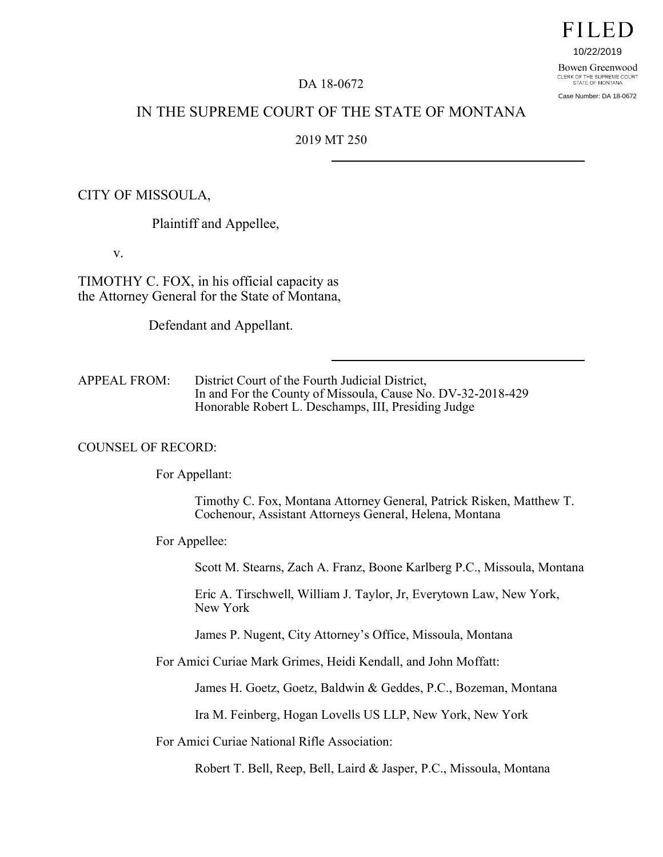# FILED

10/22/2019

Bowen Greenwood CLERK OF THE SUPREME COURT<br>STATE OF MONTANA

Case Number: DA 18-0672

# DA 18-0672

# IN THE SUPREME COURT OF THE STATE OF MONTANA

### 2019 MT 250

# CITY OF MISSOULA,

Plaintiff and Appellee,

v.

TIMOTHY C. FOX, in his official capacity as the Attorney General for the State of Montana,

Defendant and Appellant.

APPEAL FROM: District Court of the Fourth Judicial District, In and For the County of Missoula, Cause No. DV-32-2018-429 Honorable Robert L. Deschamps, III, Presiding Judge

#### COUNSEL OF RECORD:

For Appellant:

Timothy C. Fox, Montana Attorney General, Patrick Risken, Matthew T. Cochenour, Assistant Attorneys General, Helena, Montana

For Appellee:

Scott M. Stearns, Zach A. Franz, Boone Karlberg P.C., Missoula, Montana

Eric A. Tirschwell, William J. Taylor, Jr, Everytown Law, New York, New York

James P. Nugent, City Attorney's Office, Missoula, Montana

For Amici Curiae Mark Grimes, Heidi Kendall, and John Moffatt:

James H. Goetz, Goetz, Baldwin & Geddes, P.C., Bozeman, Montana

Ira M. Feinberg, Hogan Lovells US LLP, New York, New York

For Amici Curiae National Rifle Association:

Robert T. Bell, Reep, Bell, Laird & Jasper, P.C., Missoula, Montana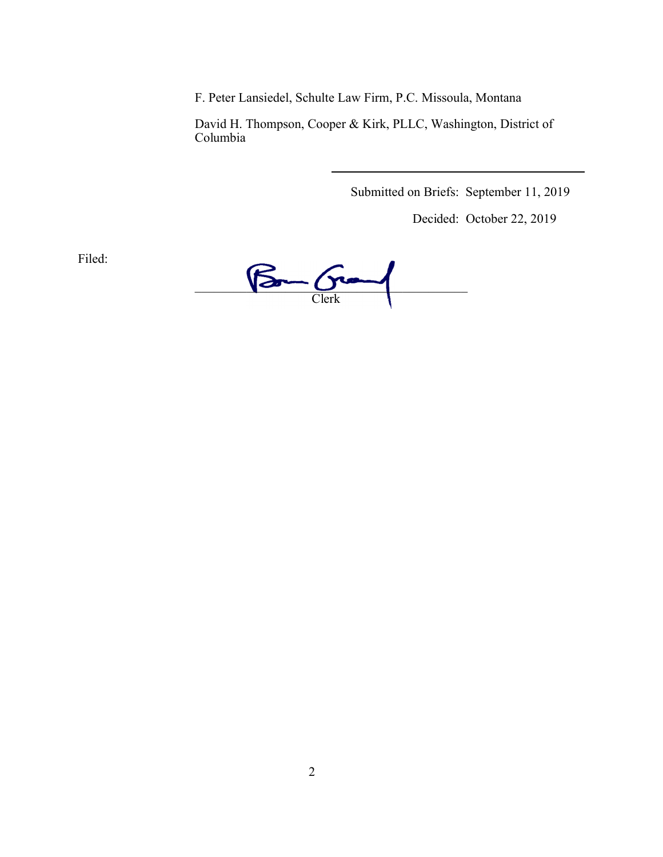F. Peter Lansiedel, Schulte Law Firm, P.C. Missoula, Montana

David H. Thompson, Cooper & Kirk, PLLC, Washington, District of Columbia

Submitted on Briefs: September 11, 2019

Decided: October 22, 2019

Filed:

 $\sqrt{2}$  $\sqrt{2n-\frac{C}{C}$ lerk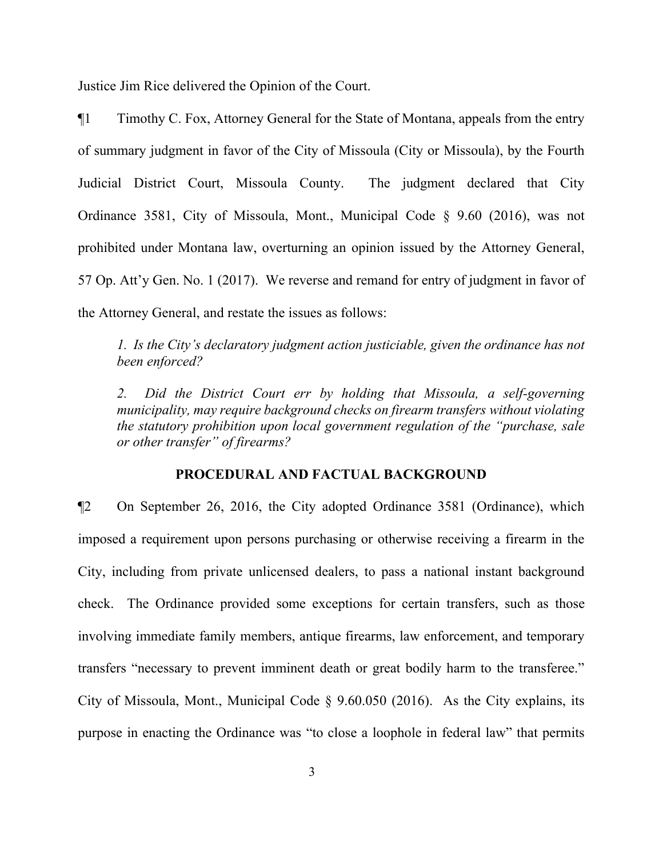Justice Jim Rice delivered the Opinion of the Court.

¶1 Timothy C. Fox, Attorney General for the State of Montana, appeals from the entry of summary judgment in favor of the City of Missoula (City or Missoula), by the Fourth Judicial District Court, Missoula County. The judgment declared that City Ordinance 3581, City of Missoula, Mont., Municipal Code § 9.60 (2016), was not prohibited under Montana law, overturning an opinion issued by the Attorney General, 57 Op. Att'y Gen. No. 1 (2017). We reverse and remand for entry of judgment in favor of the Attorney General, and restate the issues as follows:

*1. Is the City's declaratory judgment action justiciable, given the ordinance has not been enforced?*

2. Did the District Court err by holding that Missoula, a self-governing *municipality, may require background checks on firearm transfers without violating the statutory prohibition upon local government regulation of the "purchase, sale or other transfer" of firearms?* 

#### **PROCEDURAL AND FACTUAL BACKGROUND**

¶2 On September 26, 2016, the City adopted Ordinance 3581 (Ordinance), which imposed a requirement upon persons purchasing or otherwise receiving a firearm in the City, including from private unlicensed dealers, to pass a national instant background check. The Ordinance provided some exceptions for certain transfers, such as those involving immediate family members, antique firearms, law enforcement, and temporary transfers "necessary to prevent imminent death or great bodily harm to the transferee." City of Missoula, Mont., Municipal Code § 9.60.050 (2016). As the City explains, its purpose in enacting the Ordinance was "to close a loophole in federal law" that permits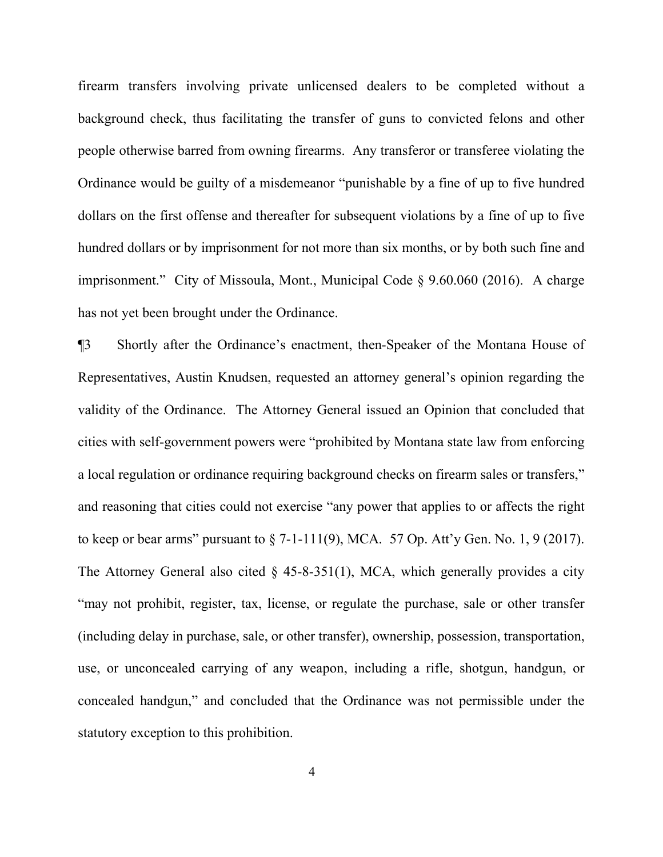firearm transfers involving private unlicensed dealers to be completed without a background check, thus facilitating the transfer of guns to convicted felons and other people otherwise barred from owning firearms. Any transferor or transferee violating the Ordinance would be guilty of a misdemeanor "punishable by a fine of up to five hundred dollars on the first offense and thereafter for subsequent violations by a fine of up to five hundred dollars or by imprisonment for not more than six months, or by both such fine and imprisonment." City of Missoula, Mont., Municipal Code § 9.60.060 (2016). A charge has not yet been brought under the Ordinance.

¶3 Shortly after the Ordinance's enactment, then-Speaker of the Montana House of Representatives, Austin Knudsen, requested an attorney general's opinion regarding the validity of the Ordinance. The Attorney General issued an Opinion that concluded that cities with self-government powers were "prohibited by Montana state law from enforcing a local regulation or ordinance requiring background checks on firearm sales or transfers," and reasoning that cities could not exercise "any power that applies to or affects the right to keep or bear arms" pursuant to  $\S$  7-1-111(9), MCA. 57 Op. Att'y Gen. No. 1, 9 (2017). The Attorney General also cited  $\S$  45-8-351(1), MCA, which generally provides a city "may not prohibit, register, tax, license, or regulate the purchase, sale or other transfer (including delay in purchase, sale, or other transfer), ownership, possession, transportation, use, or unconcealed carrying of any weapon, including a rifle, shotgun, handgun, or concealed handgun," and concluded that the Ordinance was not permissible under the statutory exception to this prohibition.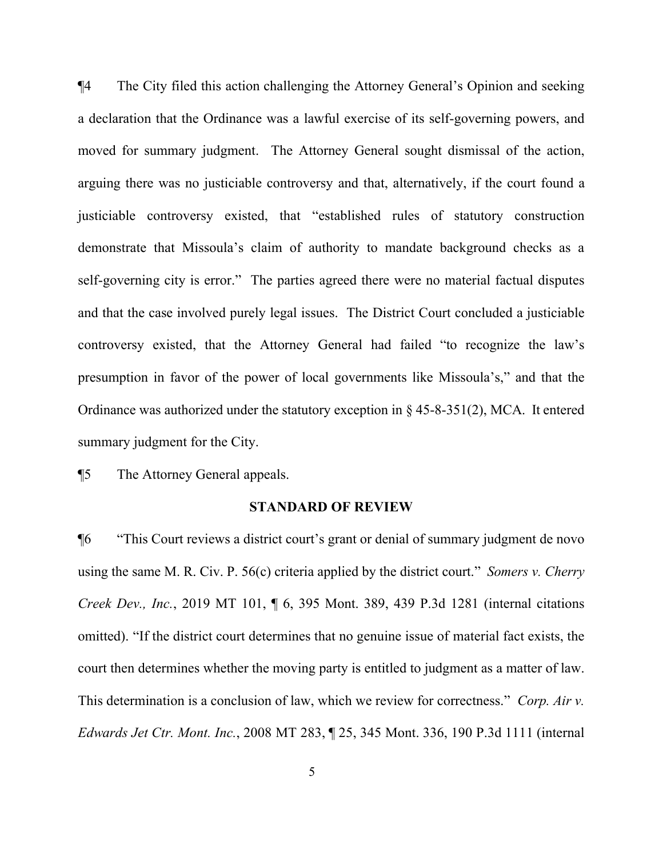¶4 The City filed this action challenging the Attorney General's Opinion and seeking a declaration that the Ordinance was a lawful exercise of its self-governing powers, and moved for summary judgment. The Attorney General sought dismissal of the action, arguing there was no justiciable controversy and that, alternatively, if the court found a justiciable controversy existed, that "established rules of statutory construction demonstrate that Missoula's claim of authority to mandate background checks as a self-governing city is error." The parties agreed there were no material factual disputes and that the case involved purely legal issues. The District Court concluded a justiciable controversy existed, that the Attorney General had failed "to recognize the law's presumption in favor of the power of local governments like Missoula's," and that the Ordinance was authorized under the statutory exception in § 45-8-351(2), MCA. It entered summary judgment for the City.

¶5 The Attorney General appeals.

#### **STANDARD OF REVIEW**

¶6 "This Court reviews a district court's grant or denial of summary judgment de novo using the same M. R. Civ. P. 56(c) criteria applied by the district court." *Somers v. Cherry Creek Dev., Inc.*, 2019 MT 101, ¶ 6, 395 Mont. 389, 439 P.3d 1281 (internal citations omitted). "If the district court determines that no genuine issue of material fact exists, the court then determines whether the moving party is entitled to judgment as a matter of law. This determination is a conclusion of law, which we review for correctness." *Corp. Air v. Edwards Jet Ctr. Mont. Inc.*, 2008 MT 283, ¶ 25, 345 Mont. 336, 190 P.3d 1111 (internal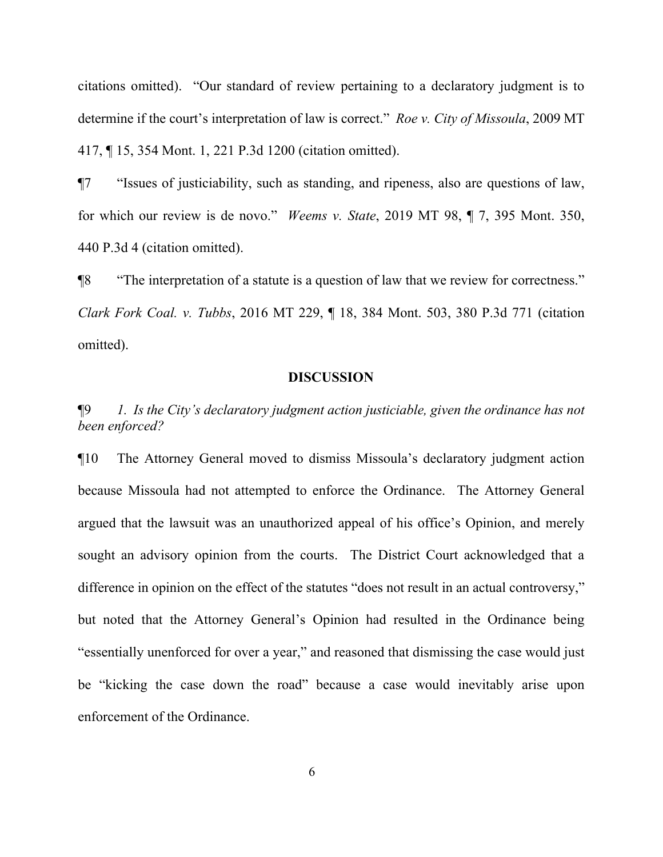citations omitted). "Our standard of review pertaining to a declaratory judgment is to determine if the court's interpretation of law is correct." *Roe v. City of Missoula*, 2009 MT 417, ¶ 15, 354 Mont. 1, 221 P.3d 1200 (citation omitted).

¶7 "Issues of justiciability, such as standing, and ripeness, also are questions of law, for which our review is de novo." *Weems v. State*, 2019 MT 98, ¶ 7, 395 Mont. 350, 440 P.3d 4 (citation omitted).

¶8 "The interpretation of a statute is a question of law that we review for correctness." *Clark Fork Coal. v. Tubbs*, 2016 MT 229, ¶ 18, 384 Mont. 503, 380 P.3d 771 (citation omitted).

#### **DISCUSSION**

¶9 *1. Is the City's declaratory judgment action justiciable, given the ordinance has not been enforced?*

¶10 The Attorney General moved to dismiss Missoula's declaratory judgment action because Missoula had not attempted to enforce the Ordinance. The Attorney General argued that the lawsuit was an unauthorized appeal of his office's Opinion, and merely sought an advisory opinion from the courts. The District Court acknowledged that a difference in opinion on the effect of the statutes "does not result in an actual controversy," but noted that the Attorney General's Opinion had resulted in the Ordinance being "essentially unenforced for over a year," and reasoned that dismissing the case would just be "kicking the case down the road" because a case would inevitably arise upon enforcement of the Ordinance.

6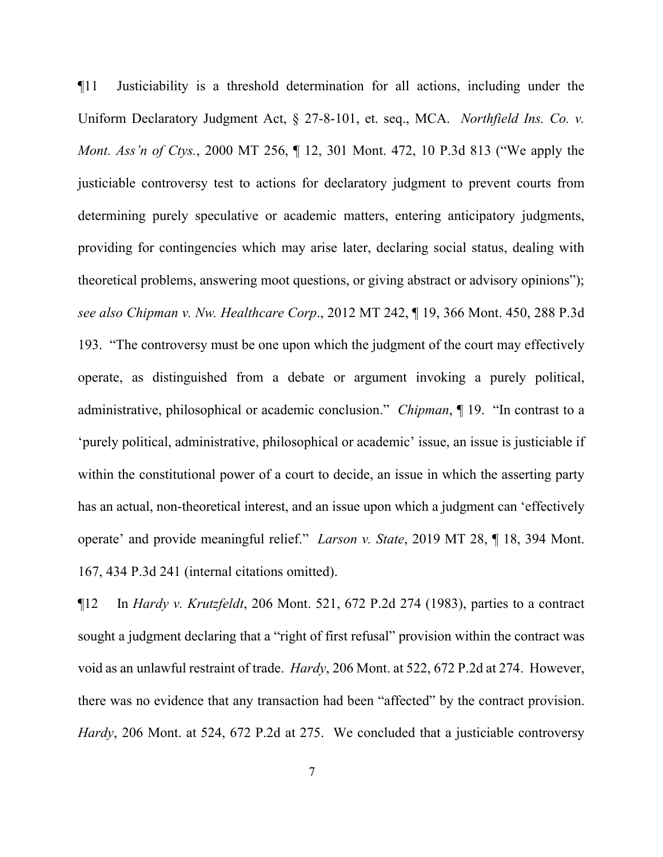¶11 Justiciability is a threshold determination for all actions, including under the Uniform Declaratory Judgment Act, § 27-8-101, et. seq., MCA. *Northfield Ins. Co. v. Mont. Ass'n of Ctys.*, 2000 MT 256, ¶ 12, 301 Mont. 472, 10 P.3d 813 ("We apply the justiciable controversy test to actions for declaratory judgment to prevent courts from determining purely speculative or academic matters, entering anticipatory judgments, providing for contingencies which may arise later, declaring social status, dealing with theoretical problems, answering moot questions, or giving abstract or advisory opinions"); *see also Chipman v. Nw. Healthcare Corp*., 2012 MT 242, ¶ 19, 366 Mont. 450, 288 P.3d 193. "The controversy must be one upon which the judgment of the court may effectively operate, as distinguished from a debate or argument invoking a purely political, administrative, philosophical or academic conclusion." *Chipman*, ¶ 19. "In contrast to a 'purely political, administrative, philosophical or academic' issue, an issue is justiciable if within the constitutional power of a court to decide, an issue in which the asserting party has an actual, non-theoretical interest, and an issue upon which a judgment can 'effectively operate' and provide meaningful relief." *Larson v. State*, 2019 MT 28, ¶ 18, 394 Mont. 167, 434 P.3d 241 (internal citations omitted).

¶12 In *Hardy v. Krutzfeldt*, 206 Mont. 521, 672 P.2d 274 (1983), parties to a contract sought a judgment declaring that a "right of first refusal" provision within the contract was void as an unlawful restraint of trade. *Hardy*, 206 Mont. at 522, 672 P.2d at 274. However, there was no evidence that any transaction had been "affected" by the contract provision. *Hardy*, 206 Mont. at 524, 672 P.2d at 275. We concluded that a justiciable controversy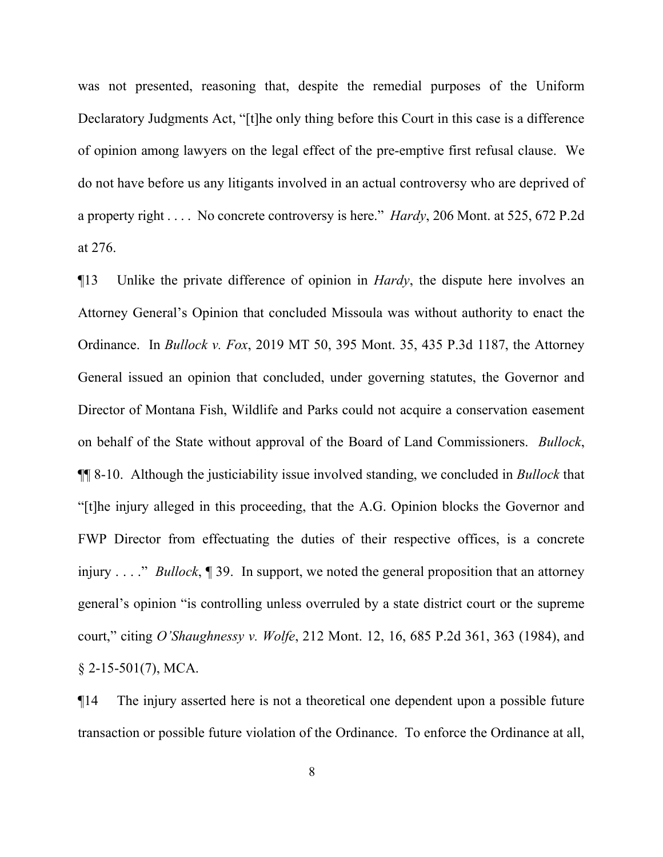was not presented, reasoning that, despite the remedial purposes of the Uniform Declaratory Judgments Act, "[t]he only thing before this Court in this case is a difference of opinion among lawyers on the legal effect of the pre-emptive first refusal clause. We do not have before us any litigants involved in an actual controversy who are deprived of a property right . . . . No concrete controversy is here." *Hardy*, 206 Mont. at 525, 672 P.2d at 276.

¶13 Unlike the private difference of opinion in *Hardy*, the dispute here involves an Attorney General's Opinion that concluded Missoula was without authority to enact the Ordinance. In *Bullock v. Fox*, 2019 MT 50, 395 Mont. 35, 435 P.3d 1187, the Attorney General issued an opinion that concluded, under governing statutes, the Governor and Director of Montana Fish, Wildlife and Parks could not acquire a conservation easement on behalf of the State without approval of the Board of Land Commissioners. *Bullock*, ¶¶ 8-10. Although the justiciability issue involved standing, we concluded in *Bullock* that "[t]he injury alleged in this proceeding, that the A.G. Opinion blocks the Governor and FWP Director from effectuating the duties of their respective offices, is a concrete injury . . . ." *Bullock*, ¶ 39. In support, we noted the general proposition that an attorney general's opinion "is controlling unless overruled by a state district court or the supreme court," citing *O'Shaughnessy v. Wolfe*, 212 Mont. 12, 16, 685 P.2d 361, 363 (1984), and  $$2-15-501(7)$ , MCA.

¶14 The injury asserted here is not a theoretical one dependent upon a possible future transaction or possible future violation of the Ordinance. To enforce the Ordinance at all,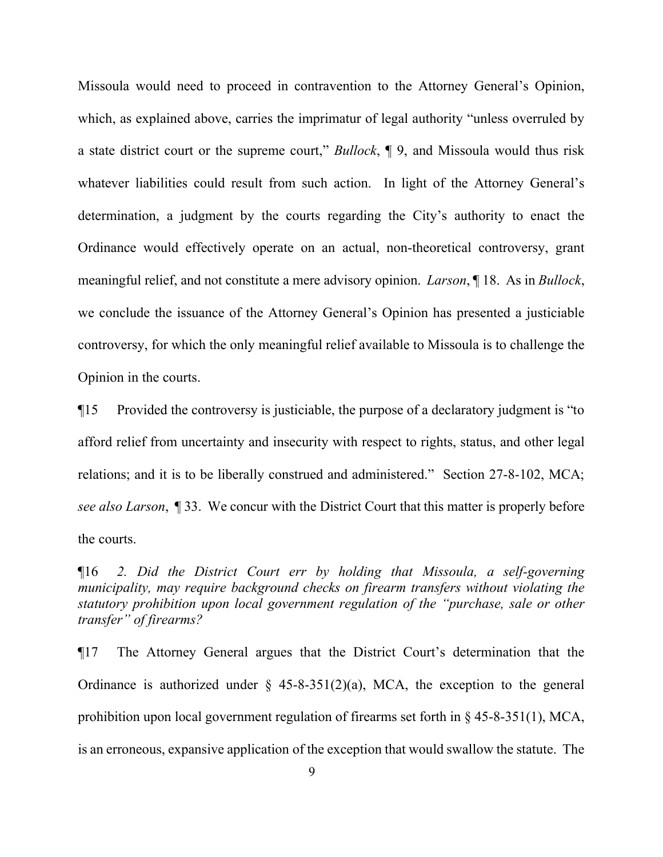Missoula would need to proceed in contravention to the Attorney General's Opinion, which, as explained above, carries the imprimatur of legal authority "unless overruled by a state district court or the supreme court," *Bullock*, ¶ 9, and Missoula would thus risk whatever liabilities could result from such action. In light of the Attorney General's determination, a judgment by the courts regarding the City's authority to enact the Ordinance would effectively operate on an actual, non-theoretical controversy, grant meaningful relief, and not constitute a mere advisory opinion. *Larson*, ¶ 18. As in *Bullock*, we conclude the issuance of the Attorney General's Opinion has presented a justiciable controversy, for which the only meaningful relief available to Missoula is to challenge the Opinion in the courts.

¶15 Provided the controversy is justiciable, the purpose of a declaratory judgment is "to afford relief from uncertainty and insecurity with respect to rights, status, and other legal relations; and it is to be liberally construed and administered." Section 27-8-102, MCA; *see also Larson*, ¶ 33. We concur with the District Court that this matter is properly before the courts.

¶16 *2. Did the District Court err by holding that Missoula, a self-governing municipality, may require background checks on firearm transfers without violating the statutory prohibition upon local government regulation of the "purchase, sale or other transfer" of firearms?*

¶17 The Attorney General argues that the District Court's determination that the Ordinance is authorized under  $\frac{1}{2}$  45-8-351(2)(a), MCA, the exception to the general prohibition upon local government regulation of firearms set forth in § 45-8-351(1), MCA, is an erroneous, expansive application of the exception that would swallow the statute. The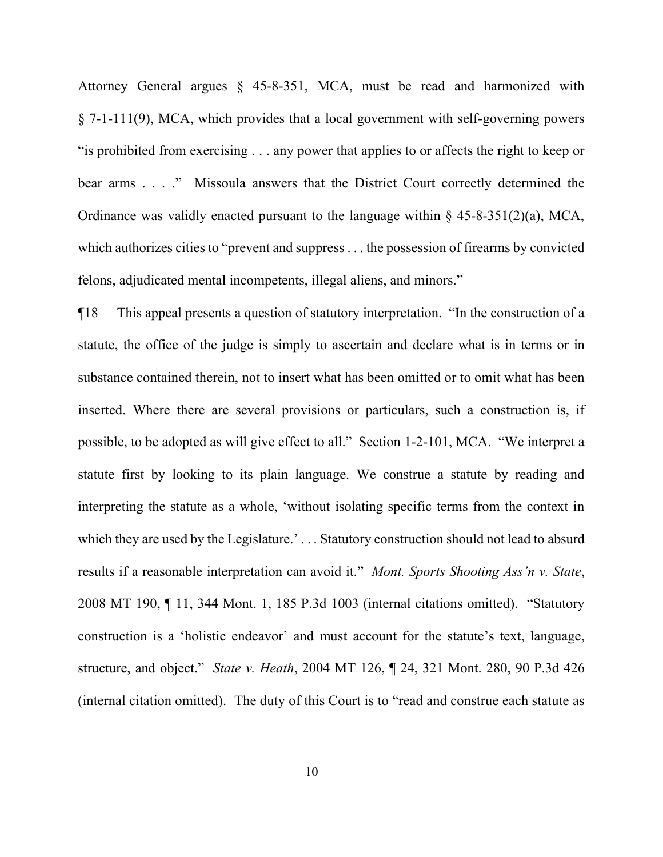Attorney General argues § 45-8-351, MCA, must be read and harmonized with § 7-1-111(9), MCA, which provides that a local government with self-governing powers "is prohibited from exercising . . . any power that applies to or affects the right to keep or bear arms . . . ." Missoula answers that the District Court correctly determined the Ordinance was validly enacted pursuant to the language within  $\S$  45-8-351(2)(a), MCA, which authorizes cities to "prevent and suppress . . . the possession of firearms by convicted felons, adjudicated mental incompetents, illegal aliens, and minors."

¶18 This appeal presents a question of statutory interpretation. "In the construction of a statute, the office of the judge is simply to ascertain and declare what is in terms or in substance contained therein, not to insert what has been omitted or to omit what has been inserted. Where there are several provisions or particulars, such a construction is, if possible, to be adopted as will give effect to all." Section 1-2-101, MCA. "We interpret a statute first by looking to its plain language. We construe a statute by reading and interpreting the statute as a whole, 'without isolating specific terms from the context in which they are used by the Legislature.'... Statutory construction should not lead to absurd results if a reasonable interpretation can avoid it." *Mont. Sports Shooting Ass'n v. State*, 2008 MT 190, ¶ 11, 344 Mont. 1, 185 P.3d 1003 (internal citations omitted). "Statutory construction is a 'holistic endeavor' and must account for the statute's text, language, structure, and object." *State v. Heath*, 2004 MT 126, ¶ 24, 321 Mont. 280, 90 P.3d 426 (internal citation omitted). The duty of this Court is to "read and construe each statute as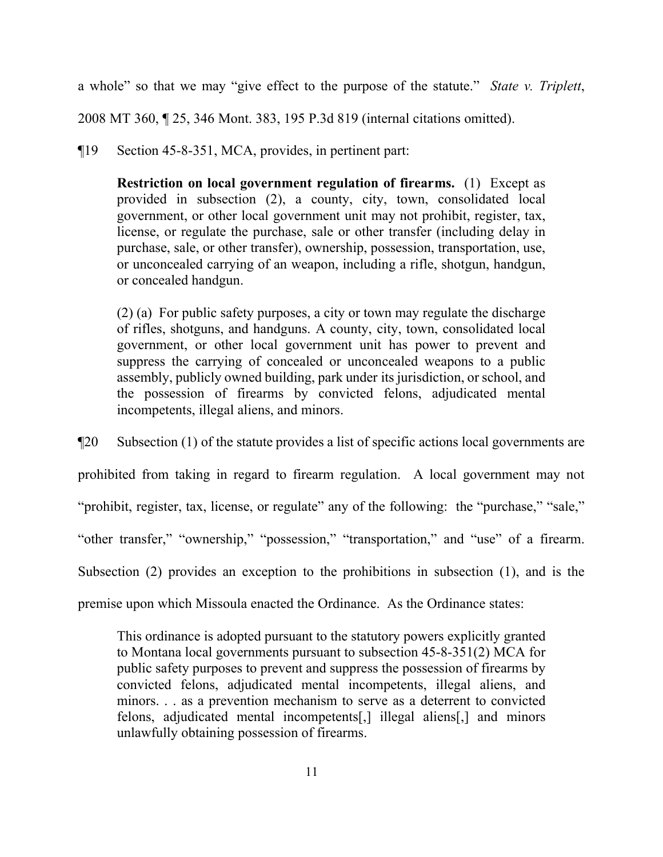a whole" so that we may "give effect to the purpose of the statute." *State v. Triplett*,

2008 MT 360, ¶ 25, 346 Mont. 383, 195 P.3d 819 (internal citations omitted).

¶19 Section 45-8-351, MCA, provides, in pertinent part:

**Restriction on local government regulation of firearms.** (1) Except as provided in subsection (2), a county, city, town, consolidated local government, or other local government unit may not prohibit, register, tax, license, or regulate the purchase, sale or other transfer (including delay in purchase, sale, or other transfer), ownership, possession, transportation, use, or unconcealed carrying of an weapon, including a rifle, shotgun, handgun, or concealed handgun.

(2) (a) For public safety purposes, a city or town may regulate the discharge of rifles, shotguns, and handguns. A county, city, town, consolidated local government, or other local government unit has power to prevent and suppress the carrying of concealed or unconcealed weapons to a public assembly, publicly owned building, park under its jurisdiction, or school, and the possession of firearms by convicted felons, adjudicated mental incompetents, illegal aliens, and minors.

¶20 Subsection (1) of the statute provides a list of specific actions local governments are prohibited from taking in regard to firearm regulation. A local government may not " prohibit, register, tax, license, or regulate" any of the following: the "purchase," "sale," "other transfer," "ownership," "possession," "transportation," and "use" of a firearm. Subsection (2) provides an exception to the prohibitions in subsection (1), and is the premise upon which Missoula enacted the Ordinance. As the Ordinance states:

This ordinance is adopted pursuant to the statutory powers explicitly granted to Montana local governments pursuant to subsection 45-8-351(2) MCA for public safety purposes to prevent and suppress the possession of firearms by convicted felons, adjudicated mental incompetents, illegal aliens, and minors. . . as a prevention mechanism to serve as a deterrent to convicted felons, adjudicated mental incompetents[,] illegal aliens[,] and minors unlawfully obtaining possession of firearms.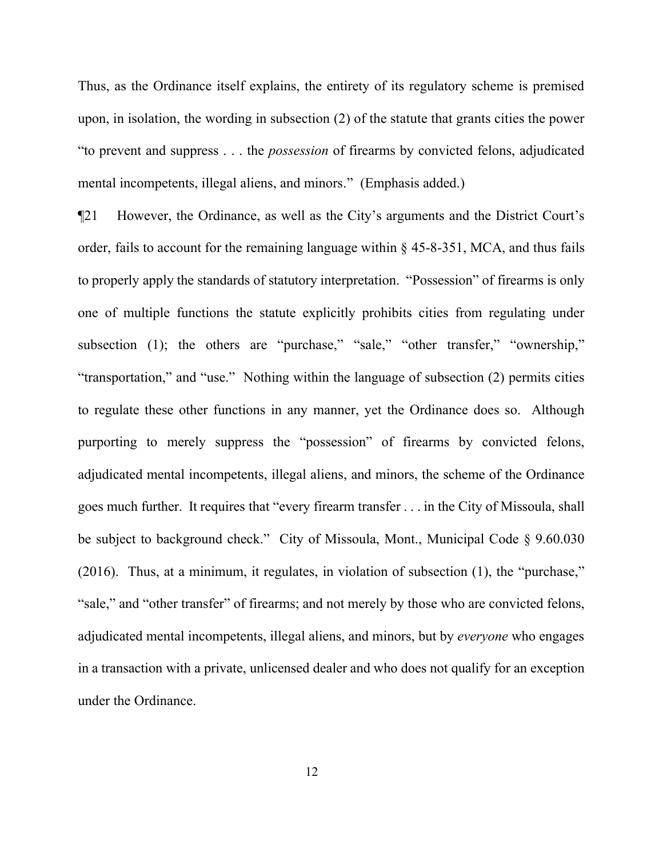Thus, as the Ordinance itself explains, the entirety of its regulatory scheme is premised upon, in isolation, the wording in subsection (2) of the statute that grants cities the power "to prevent and suppress . . . the *possession* of firearms by convicted felons, adjudicated mental incompetents, illegal aliens, and minors." (Emphasis added.)

¶21 However, the Ordinance, as well as the City's arguments and the District Court's order, fails to account for the remaining language within  $\S$  45-8-351, MCA, and thus fails to properly apply the standards of statutory interpretation. "Possession" of firearms is only one of multiple functions the statute explicitly prohibits cities from regulating under subsection (1); the others are "purchase," "sale," "other transfer," "ownership," "transportation," and "use." Nothing within the language of subsection (2) permits cities to regulate these other functions in any manner, yet the Ordinance does so. Although purporting to merely suppress the "possession" of firearms by convicted felons, adjudicated mental incompetents, illegal aliens, and minors, the scheme of the Ordinance goes much further. It requires that "every firearm transfer . . . in the City of Missoula, shall be subject to background check." City of Missoula, Mont., Municipal Code § 9.60.030 (2016). Thus, at a minimum, it regulates, in violation of subsection (1), the "purchase," "sale," and "other transfer" of firearms; and not merely by those who are convicted felons, adjudicated mental incompetents, illegal aliens, and minors, but by *everyone* who engages in a transaction with a private, unlicensed dealer and who does not qualify for an exception under the Ordinance.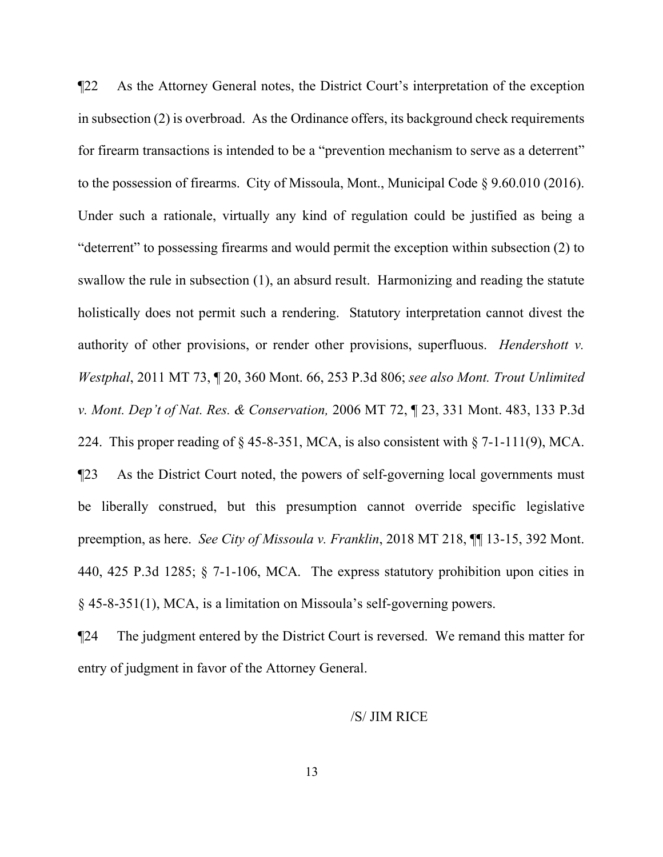¶22 As the Attorney General notes, the District Court's interpretation of the exception in subsection (2) is overbroad. As the Ordinance offers, its background check requirements for firearm transactions is intended to be a "prevention mechanism to serve as a deterrent" to the possession of firearms. City of Missoula, Mont., Municipal Code § 9.60.010 (2016). Under such a rationale, virtually any kind of regulation could be justified as being a "deterrent" to possessing firearms and would permit the exception within subsection (2) to swallow the rule in subsection (1), an absurd result. Harmonizing and reading the statute holistically does not permit such a rendering. Statutory interpretation cannot divest the authority of other provisions, or render other provisions, superfluous. *Hendershott v. Westphal*, 2011 MT 73, ¶ 20, 360 Mont. 66, 253 P.3d 806; *see also Mont. Trout Unlimited v. Mont. Dep't of Nat. Res. & Conservation,* 2006 MT 72, ¶ 23, 331 Mont. 483, 133 P.3d 224. This proper reading of  $\S$  45-8-351, MCA, is also consistent with  $\S$  7-1-111(9), MCA. ¶23 As the District Court noted, the powers of self-governing local governments must be liberally construed, but this presumption cannot override specific legislative preemption, as here. *See City of Missoula v. Franklin*, 2018 MT 218, ¶¶ 13-15, 392 Mont. 440, 425 P.3d 1285; § 7-1-106, MCA. The express statutory prohibition upon cities in § 45-8-351(1), MCA, is a limitation on Missoula's self-governing powers.

¶24 The judgment entered by the District Court is reversed. We remand this matter for entry of judgment in favor of the Attorney General.

#### /S/ JIM RICE